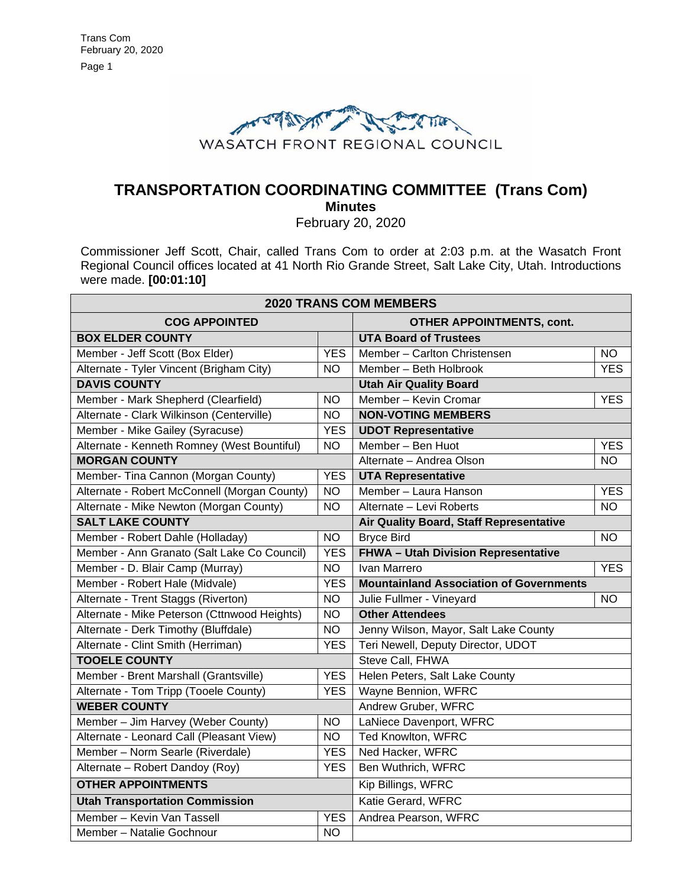

# **TRANSPORTATION COORDINATING COMMITTEE (Trans Com) Minutes**

February 20, 2020

Commissioner Jeff Scott, Chair, called Trans Com to order at 2:03 p.m. at the Wasatch Front Regional Council offices located at 41 North Rio Grande Street, Salt Lake City, Utah. Introductions were made. **[00:01:10]**

| <b>2020 TRANS COM MEMBERS</b>                |                 |                                                |            |
|----------------------------------------------|-----------------|------------------------------------------------|------------|
| <b>COG APPOINTED</b>                         |                 | <b>OTHER APPOINTMENTS, cont.</b>               |            |
| <b>BOX ELDER COUNTY</b>                      |                 | <b>UTA Board of Trustees</b>                   |            |
| Member - Jeff Scott (Box Elder)              | <b>YES</b>      | Member - Carlton Christensen                   | <b>NO</b>  |
| Alternate - Tyler Vincent (Brigham City)     | NO.             | Member - Beth Holbrook                         | <b>YES</b> |
| <b>DAVIS COUNTY</b>                          |                 | <b>Utah Air Quality Board</b>                  |            |
| Member - Mark Shepherd (Clearfield)          | <b>NO</b>       | Member - Kevin Cromar                          | <b>YES</b> |
| Alternate - Clark Wilkinson (Centerville)    | <b>NO</b>       | <b>NON-VOTING MEMBERS</b>                      |            |
| Member - Mike Gailey (Syracuse)              | <b>YES</b>      | <b>UDOT Representative</b>                     |            |
| Alternate - Kenneth Romney (West Bountiful)  | <b>NO</b>       | Member - Ben Huot                              | <b>YES</b> |
| <b>MORGAN COUNTY</b>                         |                 | Alternate - Andrea Olson                       | <b>NO</b>  |
| Member- Tina Cannon (Morgan County)          | <b>YES</b>      | <b>UTA Representative</b>                      |            |
| Alternate - Robert McConnell (Morgan County) | <b>NO</b>       | Member - Laura Hanson                          | <b>YES</b> |
| Alternate - Mike Newton (Morgan County)      | <b>NO</b>       | Alternate - Levi Roberts                       | <b>NO</b>  |
| <b>SALT LAKE COUNTY</b>                      |                 | Air Quality Board, Staff Representative        |            |
| Member - Robert Dahle (Holladay)             | <b>NO</b>       | <b>Bryce Bird</b>                              | <b>NO</b>  |
| Member - Ann Granato (Salt Lake Co Council)  | <b>YES</b>      | FHWA - Utah Division Representative            |            |
| Member - D. Blair Camp (Murray)              | <b>NO</b>       | Ivan Marrero                                   | <b>YES</b> |
| Member - Robert Hale (Midvale)               | <b>YES</b>      | <b>Mountainland Association of Governments</b> |            |
| Alternate - Trent Staggs (Riverton)          | <b>NO</b>       | Julie Fullmer - Vineyard                       | <b>NO</b>  |
| Alternate - Mike Peterson (Cttnwood Heights) | <b>NO</b>       | <b>Other Attendees</b>                         |            |
| Alternate - Derk Timothy (Bluffdale)         | <b>NO</b>       | Jenny Wilson, Mayor, Salt Lake County          |            |
| Alternate - Clint Smith (Herriman)           | <b>YES</b>      | Teri Newell, Deputy Director, UDOT             |            |
| <b>TOOELE COUNTY</b>                         |                 | Steve Call, FHWA                               |            |
| Member - Brent Marshall (Grantsville)        | <b>YES</b>      | Helen Peters, Salt Lake County                 |            |
| Alternate - Tom Tripp (Tooele County)        | <b>YES</b>      | Wayne Bennion, WFRC                            |            |
| <b>WEBER COUNTY</b>                          |                 | Andrew Gruber, WFRC                            |            |
| Member - Jim Harvey (Weber County)           | <b>NO</b>       | LaNiece Davenport, WFRC                        |            |
| Alternate - Leonard Call (Pleasant View)     | $\overline{NO}$ | <b>Ted Knowlton, WFRC</b>                      |            |
| Member - Norm Searle (Riverdale)             | <b>YES</b>      | Ned Hacker, WFRC                               |            |
| Alternate - Robert Dandoy (Roy)              | <b>YES</b>      | Ben Wuthrich, WFRC                             |            |
| <b>OTHER APPOINTMENTS</b>                    |                 | Kip Billings, WFRC                             |            |
| <b>Utah Transportation Commission</b>        |                 | Katie Gerard, WFRC                             |            |
| Member - Kevin Van Tassell                   | <b>YES</b>      | Andrea Pearson, WFRC                           |            |
| Member - Natalie Gochnour                    | <b>NO</b>       |                                                |            |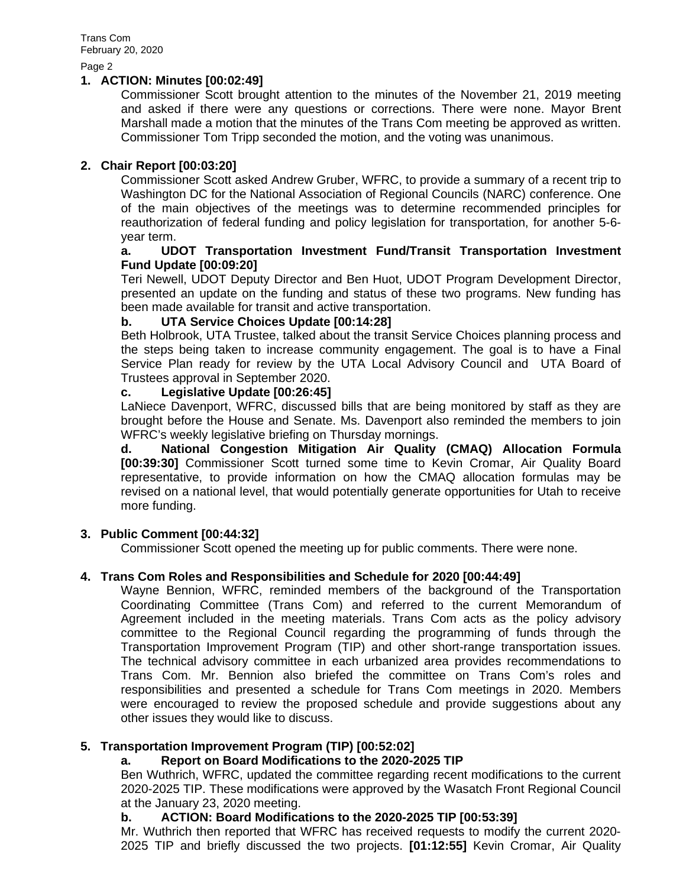Page 2

#### **1. ACTION: Minutes [00:02:49]**

Commissioner Scott brought attention to the minutes of the November 21, 2019 meeting and asked if there were any questions or corrections. There were none. Mayor Brent Marshall made a motion that the minutes of the Trans Com meeting be approved as written. Commissioner Tom Tripp seconded the motion, and the voting was unanimous.

# **2. Chair Report [00:03:20]**

Commissioner Scott asked Andrew Gruber, WFRC, to provide a summary of a recent trip to Washington DC for the National Association of Regional Councils (NARC) conference. One of the main objectives of the meetings was to determine recommended principles for reauthorization of federal funding and policy legislation for transportation, for another 5-6 year term.

#### **a. UDOT Transportation Investment Fund/Transit Transportation Investment Fund Update [00:09:20]**

Teri Newell, UDOT Deputy Director and Ben Huot, UDOT Program Development Director, presented an update on the funding and status of these two programs. New funding has been made available for transit and active transportation.

# **b. UTA Service Choices Update [00:14:28]**

Beth Holbrook, UTA Trustee, talked about the transit Service Choices planning process and the steps being taken to increase community engagement. The goal is to have a Final Service Plan ready for review by the UTA Local Advisory Council and UTA Board of Trustees approval in September 2020.

# **c. Legislative Update [00:26:45]**

LaNiece Davenport, WFRC, discussed bills that are being monitored by staff as they are brought before the House and Senate. Ms. Davenport also reminded the members to join WFRC's weekly legislative briefing on Thursday mornings.

**d. National Congestion Mitigation Air Quality (CMAQ) Allocation Formula [00:39:30]** Commissioner Scott turned some time to Kevin Cromar, Air Quality Board representative, to provide information on how the CMAQ allocation formulas may be revised on a national level, that would potentially generate opportunities for Utah to receive more funding.

# **3. Public Comment [00:44:32]**

Commissioner Scott opened the meeting up for public comments. There were none.

# **4. Trans Com Roles and Responsibilities and Schedule for 2020 [00:44:49]**

Wayne Bennion, WFRC, reminded members of the background of the Transportation Coordinating Committee (Trans Com) and referred to the current Memorandum of Agreement included in the meeting materials. Trans Com acts as the policy advisory committee to the Regional Council regarding the programming of funds through the Transportation Improvement Program (TIP) and other short-range transportation issues. The technical advisory committee in each urbanized area provides recommendations to Trans Com. Mr. Bennion also briefed the committee on Trans Com's roles and responsibilities and presented a schedule for Trans Com meetings in 2020. Members were encouraged to review the proposed schedule and provide suggestions about any other issues they would like to discuss.

# **5. Transportation Improvement Program (TIP) [00:52:02]**

# **a. Report on Board Modifications to the 2020-2025 TIP**

Ben Wuthrich, WFRC, updated the committee regarding recent modifications to the current 2020-2025 TIP. These modifications were approved by the Wasatch Front Regional Council at the January 23, 2020 meeting.

# **b. ACTION: Board Modifications to the 2020-2025 TIP [00:53:39]**

Mr. Wuthrich then reported that WFRC has received requests to modify the current 2020- 2025 TIP and briefly discussed the two projects. **[01:12:55]** Kevin Cromar, Air Quality